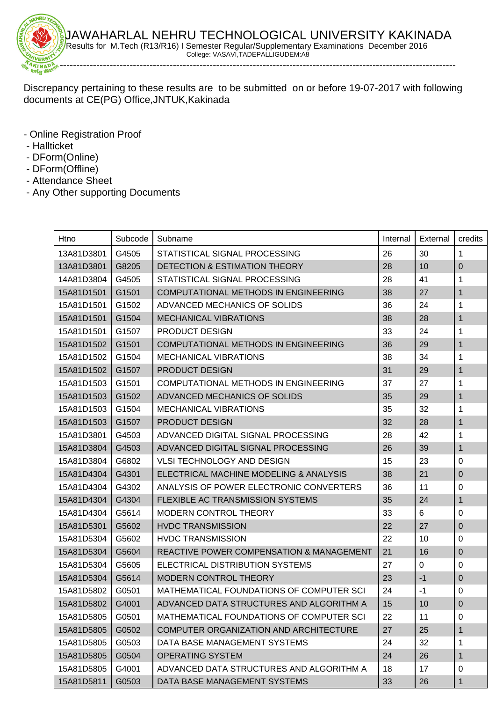

-----------------------------------------------------------------------------------------------------------------------

Discrepancy pertaining to these results are to be submitted on or before 19-07-2017 with following documents at CE(PG) Office,JNTUK,Kakinada

- Online Registration Proof
- Hallticket

**STOR** 

- DForm(Online)
- DForm(Offline)
- Attendance Sheet
- Any Other supporting Documents

| Htno               | Subcode | Subname                                             | Internal | External    | credits      |
|--------------------|---------|-----------------------------------------------------|----------|-------------|--------------|
| 13A81D3801         | G4505   | STATISTICAL SIGNAL PROCESSING                       | 26       | 30          | $\mathbf 1$  |
| 13A81D3801         | G8205   | <b>DETECTION &amp; ESTIMATION THEORY</b>            | 28       | 10          | $\mathbf 0$  |
| 14A81D3804         | G4505   | STATISTICAL SIGNAL PROCESSING                       | 28       | 41          | 1            |
| 15A81D1501         | G1501   | COMPUTATIONAL METHODS IN ENGINEERING                | 38       | 27          | $\mathbf{1}$ |
| 15A81D1501         | G1502   | ADVANCED MECHANICS OF SOLIDS                        | 36       | 24          | 1            |
| 15A81D1501         | G1504   | <b>MECHANICAL VIBRATIONS</b>                        | 38       | 28          | $\mathbf{1}$ |
| 15A81D1501         | G1507   | PRODUCT DESIGN                                      | 33       | 24          | 1            |
| 15A81D1502         | G1501   | COMPUTATIONAL METHODS IN ENGINEERING                | 36       | 29          | 1            |
| 15A81D1502         | G1504   | <b>MECHANICAL VIBRATIONS</b>                        | 38       | 34          | 1            |
| 15A81D1502         | G1507   | <b>PRODUCT DESIGN</b>                               | 31       | 29          | $\mathbf 1$  |
| 15A81D1503         | G1501   | COMPUTATIONAL METHODS IN ENGINEERING                | 37       | 27          | 1            |
| 15A81D1503         | G1502   | ADVANCED MECHANICS OF SOLIDS                        | 35       | 29          | 1            |
| 15A81D1503         | G1504   | <b>MECHANICAL VIBRATIONS</b>                        | 35       | 32          | 1            |
| 15A81D1503         | G1507   | <b>PRODUCT DESIGN</b>                               | 32       | 28          | 1            |
| 15A81D3801         | G4503   | ADVANCED DIGITAL SIGNAL PROCESSING                  | 28       | 42          | 1            |
| 15A81D3804         | G4503   | ADVANCED DIGITAL SIGNAL PROCESSING                  | 26       | 39          | $\mathbf{1}$ |
| 15A81D3804         | G6802   | <b>VLSI TECHNOLOGY AND DESIGN</b>                   | 15       | 23          | 0            |
| 15A81D4304         | G4301   | ELECTRICAL MACHINE MODELING & ANALYSIS              | 38       | 21          | $\pmb{0}$    |
| 15A81D4304         | G4302   | ANALYSIS OF POWER ELECTRONIC CONVERTERS             | 36       | 11          | 0            |
| 15A81D4304         | G4304   | FLEXIBLE AC TRANSMISSION SYSTEMS                    | 35       | 24          | $\mathbf 1$  |
| 15A81D4304         | G5614   | MODERN CONTROL THEORY                               | 33       | 6           | 0            |
| 15A81D5301         | G5602   | <b>HVDC TRANSMISSION</b>                            | 22       | 27          | $\pmb{0}$    |
| 15A81D5304         | G5602   | <b>HVDC TRANSMISSION</b>                            | 22       | 10          | 0            |
| 15A81D5304         | G5604   | <b>REACTIVE POWER COMPENSATION &amp; MANAGEMENT</b> | 21       | 16          | $\mathbf 0$  |
| 15A81D5304         | G5605   | ELECTRICAL DISTRIBUTION SYSTEMS                     | 27       | $\mathbf 0$ | 0            |
| 15A81D5304         | G5614   | MODERN CONTROL THEORY                               | 23       | $-1$        | $\pmb{0}$    |
| 15A81D5802         | G0501   | MATHEMATICAL FOUNDATIONS OF COMPUTER SCI            | 24       | $-1$        | 0            |
| 15A81D5802   G4001 |         | ADVANCED DATA STRUCTURES AND ALGORITHM A            | 15       | 10          | $\pmb{0}$    |
| 15A81D5805         | G0501   | MATHEMATICAL FOUNDATIONS OF COMPUTER SCI            | 22       | 11          | 0            |
| 15A81D5805         | G0502   | COMPUTER ORGANIZATION AND ARCHITECTURE              | 27       | 25          | 1            |
| 15A81D5805         | G0503   | DATA BASE MANAGEMENT SYSTEMS                        | 24       | 32          | 1            |
| 15A81D5805         | G0504   | <b>OPERATING SYSTEM</b>                             | 24       | 26          | $\mathbf 1$  |
| 15A81D5805         | G4001   | ADVANCED DATA STRUCTURES AND ALGORITHM A            | 18       | 17          | 0            |
| 15A81D5811         | G0503   | DATA BASE MANAGEMENT SYSTEMS                        | 33       | 26          | $\mathbf{1}$ |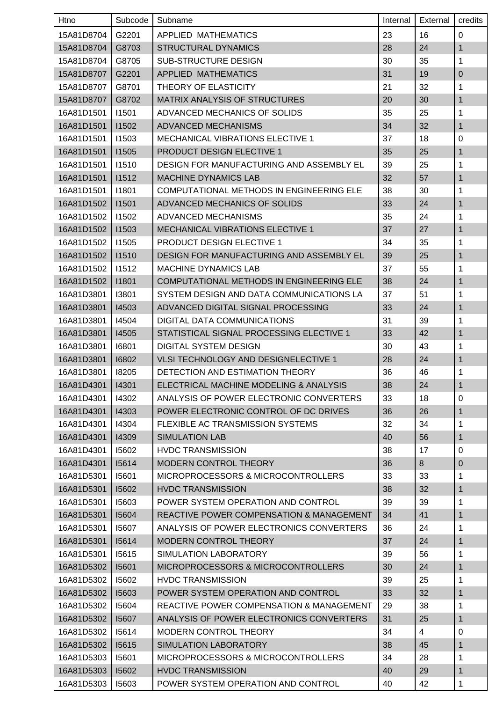| Htno       | Subcode      | Subname                                  | Internal | External       | credits      |
|------------|--------------|------------------------------------------|----------|----------------|--------------|
| 15A81D8704 | G2201        | APPLIED MATHEMATICS                      | 23       | 16             | $\mathbf 0$  |
| 15A81D8704 | G8703        | <b>STRUCTURAL DYNAMICS</b>               | 28       | 24             | 1            |
| 15A81D8704 | G8705        | SUB-STRUCTURE DESIGN                     | 30       | 35             | 1            |
| 15A81D8707 | G2201        | <b>APPLIED MATHEMATICS</b>               | 31       | 19             | $\mathbf 0$  |
| 15A81D8707 | G8701        | THEORY OF ELASTICITY                     | 21       | 32             | 1            |
| 15A81D8707 | G8702        | MATRIX ANALYSIS OF STRUCTURES            | 20       | 30             | 1            |
| 16A81D1501 | 11501        | ADVANCED MECHANICS OF SOLIDS             | 35       | 25             | 1            |
| 16A81D1501 | 11502        | ADVANCED MECHANISMS                      | 34       | 32             | $\mathbf 1$  |
| 16A81D1501 | 11503        | <b>MECHANICAL VIBRATIONS ELECTIVE 1</b>  | 37       | 18             | $\pmb{0}$    |
| 16A81D1501 | 11505        | PRODUCT DESIGN ELECTIVE 1                | 35       | 25             | $\mathbf{1}$ |
| 16A81D1501 | 11510        | DESIGN FOR MANUFACTURING AND ASSEMBLY EL | 39       | 25             | 1            |
| 16A81D1501 | 11512        | <b>MACHINE DYNAMICS LAB</b>              | 32       | 57             | 1            |
| 16A81D1501 | 11801        | COMPUTATIONAL METHODS IN ENGINEERING ELE | 38       | 30             | 1            |
| 16A81D1502 | 11501        | ADVANCED MECHANICS OF SOLIDS             | 33       | 24             | 1            |
| 16A81D1502 | 11502        | ADVANCED MECHANISMS                      | 35       | 24             | 1            |
| 16A81D1502 | 11503        | <b>MECHANICAL VIBRATIONS ELECTIVE 1</b>  | 37       | 27             | $\mathbf 1$  |
| 16A81D1502 | <b>I1505</b> | <b>PRODUCT DESIGN ELECTIVE 1</b>         | 34       | 35             | 1            |
| 16A81D1502 | 11510        | DESIGN FOR MANUFACTURING AND ASSEMBLY EL | 39       | 25             | 1            |
| 16A81D1502 | 11512        | <b>MACHINE DYNAMICS LAB</b>              | 37       | 55             | 1            |
| 16A81D1502 | 11801        | COMPUTATIONAL METHODS IN ENGINEERING ELE | 38       | 24             | $\mathbf{1}$ |
| 16A81D3801 | 13801        | SYSTEM DESIGN AND DATA COMMUNICATIONS LA | 37       | 51             | 1            |
| 16A81D3801 | 14503        | ADVANCED DIGITAL SIGNAL PROCESSING       | 33       | 24             | 1            |
| 16A81D3801 | 14504        | DIGITAL DATA COMMUNICATIONS              | 31       | 39             | 1            |
| 16A81D3801 | 14505        | STATISTICAL SIGNAL PROCESSING ELECTIVE 1 | 33       | 42             | $\mathbf 1$  |
| 16A81D3801 | 16801        | <b>DIGITAL SYSTEM DESIGN</b>             | 30       | 43             | 1            |
| 16A81D3801 | 16802        | VLSI TECHNOLOGY AND DESIGNELECTIVE 1     | 28       | 24             | $\mathbf 1$  |
| 16A81D3801 | 18205        | DETECTION AND ESTIMATION THEORY          | 36       | 46             | $\mathbf{1}$ |
| 16A81D4301 | 14301        | ELECTRICAL MACHINE MODELING & ANALYSIS   | 38       | 24             | $\mathbf{1}$ |
| 16A81D4301 | 14302        | ANALYSIS OF POWER ELECTRONIC CONVERTERS  | 33       | 18             | 0            |
| 16A81D4301 | 14303        | POWER ELECTRONIC CONTROL OF DC DRIVES    | 36       | 26             | $\mathbf{1}$ |
| 16A81D4301 | 14304        | FLEXIBLE AC TRANSMISSION SYSTEMS         | 32       | 34             | 1            |
| 16A81D4301 | 14309        | <b>SIMULATION LAB</b>                    | 40       | 56             | $\mathbf{1}$ |
| 16A81D4301 | 15602        | <b>HVDC TRANSMISSION</b>                 | 38       | 17             | $\pmb{0}$    |
| 16A81D4301 | 15614        | MODERN CONTROL THEORY                    | 36       | 8              | $\mathbf 0$  |
| 16A81D5301 | 15601        | MICROPROCESSORS & MICROCONTROLLERS       | 33       | 33             | 1            |
| 16A81D5301 | 15602        | <b>HVDC TRANSMISSION</b>                 | 38       | 32             | $\mathbf{1}$ |
| 16A81D5301 | 15603        | POWER SYSTEM OPERATION AND CONTROL       | 39       | 39             | 1            |
| 16A81D5301 | 15604        | REACTIVE POWER COMPENSATION & MANAGEMENT | 34       | 41             | $\mathbf{1}$ |
| 16A81D5301 | 15607        | ANALYSIS OF POWER ELECTRONICS CONVERTERS | 36       | 24             | $\mathbf{1}$ |
| 16A81D5301 | 15614        | MODERN CONTROL THEORY                    | 37       | 24             | $\mathbf 1$  |
| 16A81D5301 | 15615        | SIMULATION LABORATORY                    | 39       | 56             | 1            |
| 16A81D5302 | 15601        | MICROPROCESSORS & MICROCONTROLLERS       | 30       | 24             | $\mathbf{1}$ |
| 16A81D5302 | 15602        | <b>HVDC TRANSMISSION</b>                 | 39       | 25             | 1            |
| 16A81D5302 | 15603        | POWER SYSTEM OPERATION AND CONTROL       | 33       | 32             | 1            |
| 16A81D5302 | 15604        | REACTIVE POWER COMPENSATION & MANAGEMENT | 29       | 38             | 1            |
| 16A81D5302 | 15607        | ANALYSIS OF POWER ELECTRONICS CONVERTERS | 31       | 25             | $\mathbf{1}$ |
| 16A81D5302 | 15614        | MODERN CONTROL THEORY                    | 34       | $\overline{4}$ | 0            |
| 16A81D5302 | 15615        | SIMULATION LABORATORY                    | 38       | 45             | $\mathbf{1}$ |
| 16A81D5303 | 15601        | MICROPROCESSORS & MICROCONTROLLERS       | 34       | 28             | $\mathbf{1}$ |
| 16A81D5303 | 15602        | <b>HVDC TRANSMISSION</b>                 | 40       | 29             | $\mathbf 1$  |
| 16A81D5303 | 15603        | POWER SYSTEM OPERATION AND CONTROL       | 40       | 42             | 1            |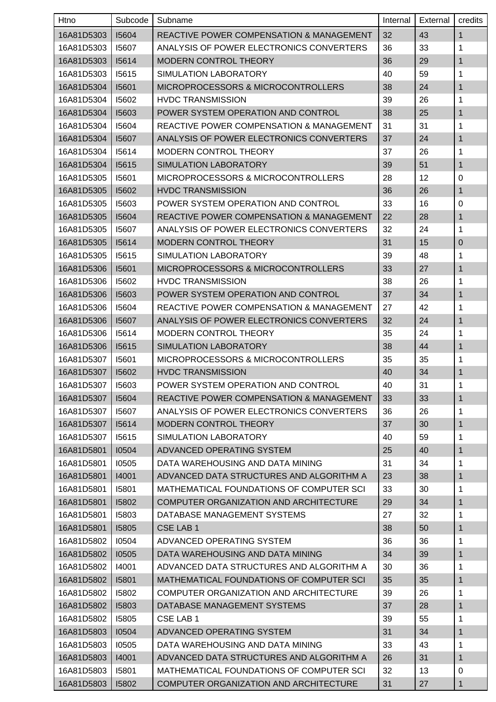| Htno       | Subcode | Subname                                             | Internal | External | credits      |
|------------|---------|-----------------------------------------------------|----------|----------|--------------|
| 16A81D5303 | 15604   | <b>REACTIVE POWER COMPENSATION &amp; MANAGEMENT</b> | 32       | 43       | $\mathbf{1}$ |
| 16A81D5303 | 15607   | ANALYSIS OF POWER ELECTRONICS CONVERTERS            | 36       | 33       | 1            |
| 16A81D5303 | 15614   | MODERN CONTROL THEORY                               | 36       | 29       | 1            |
| 16A81D5303 | 15615   | <b>SIMULATION LABORATORY</b>                        | 40       | 59       | 1            |
| 16A81D5304 | 15601   | <b>MICROPROCESSORS &amp; MICROCONTROLLERS</b>       | 38       | 24       | 1            |
| 16A81D5304 | 15602   | <b>HVDC TRANSMISSION</b>                            | 39       | 26       | 1            |
| 16A81D5304 | 15603   | POWER SYSTEM OPERATION AND CONTROL                  | 38       | 25       | $\mathbf{1}$ |
| 16A81D5304 | 15604   | REACTIVE POWER COMPENSATION & MANAGEMENT            | 31       | 31       | 1            |
| 16A81D5304 | 15607   | ANALYSIS OF POWER ELECTRONICS CONVERTERS            | 37       | 24       | 1            |
| 16A81D5304 | 15614   | <b>MODERN CONTROL THEORY</b>                        | 37       | 26       | 1            |
| 16A81D5304 | 15615   | SIMULATION LABORATORY                               | 39       | 51       | 1            |
| 16A81D5305 | 15601   | MICROPROCESSORS & MICROCONTROLLERS                  | 28       | 12       | 0            |
| 16A81D5305 | 15602   | <b>HVDC TRANSMISSION</b>                            | 36       | 26       | $\mathbf{1}$ |
| 16A81D5305 | 15603   | POWER SYSTEM OPERATION AND CONTROL                  | 33       | 16       | 0            |
| 16A81D5305 | 15604   | REACTIVE POWER COMPENSATION & MANAGEMENT            | 22       | 28       | 1            |
| 16A81D5305 | 15607   | ANALYSIS OF POWER ELECTRONICS CONVERTERS            | 32       | 24       | 1            |
| 16A81D5305 | 15614   | <b>MODERN CONTROL THEORY</b>                        | 31       | 15       | $\pmb{0}$    |
| 16A81D5305 | 15615   | SIMULATION LABORATORY                               | 39       | 48       | 1            |
| 16A81D5306 | 15601   | MICROPROCESSORS & MICROCONTROLLERS                  | 33       | 27       | 1            |
| 16A81D5306 | 15602   | <b>HVDC TRANSMISSION</b>                            | 38       | 26       | 1            |
| 16A81D5306 | 15603   | POWER SYSTEM OPERATION AND CONTROL                  | 37       | 34       | 1            |
| 16A81D5306 | 15604   | <b>REACTIVE POWER COMPENSATION &amp; MANAGEMENT</b> | 27       | 42       | 1            |
| 16A81D5306 | 15607   | ANALYSIS OF POWER ELECTRONICS CONVERTERS            | 32       | 24       | $\mathbf{1}$ |
| 16A81D5306 | 15614   | <b>MODERN CONTROL THEORY</b>                        | 35       | 24       | 1            |
| 16A81D5306 | 15615   | SIMULATION LABORATORY                               | 38       | 44       | 1            |
| 16A81D5307 | 15601   | MICROPROCESSORS & MICROCONTROLLERS                  | 35       | 35       | 1            |
| 16A81D5307 | 15602   | <b>HVDC TRANSMISSION</b>                            | 40       | 34       | 1            |
| 16A81D5307 | 15603   | POWER SYSTEM OPERATION AND CONTROL                  | 40       | 31       | $\mathbf 1$  |
| 16A81D5307 | 15604   | REACTIVE POWER COMPENSATION & MANAGEMENT            | 33       | 33       | $\mathbf{1}$ |
| 16A81D5307 | 15607   | ANALYSIS OF POWER ELECTRONICS CONVERTERS            | 36       | 26       | 1            |
| 16A81D5307 | 15614   | <b>MODERN CONTROL THEORY</b>                        | 37       | 30       | 1            |
| 16A81D5307 | 15615   | SIMULATION LABORATORY                               | 40       | 59       | 1            |
| 16A81D5801 | 10504   | ADVANCED OPERATING SYSTEM                           | 25       | 40       | $\mathbf{1}$ |
| 16A81D5801 | 10505   | DATA WAREHOUSING AND DATA MINING                    | 31       | 34       | 1            |
| 16A81D5801 | 14001   | ADVANCED DATA STRUCTURES AND ALGORITHM A            | 23       | 38       | $\mathbf{1}$ |
| 16A81D5801 | 15801   | MATHEMATICAL FOUNDATIONS OF COMPUTER SCI            | 33       | 30       | 1            |
| 16A81D5801 | 15802   | COMPUTER ORGANIZATION AND ARCHITECTURE              | 29       | 34       | 1            |
| 16A81D5801 | 15803   | DATABASE MANAGEMENT SYSTEMS                         | 27       | 32       | 1            |
| 16A81D5801 | 15805   | <b>CSE LAB1</b>                                     | 38       | 50       | $\mathbf{1}$ |
| 16A81D5802 | 10504   | ADVANCED OPERATING SYSTEM                           | 36       | 36       | 1            |
| 16A81D5802 | 10505   | DATA WAREHOUSING AND DATA MINING                    | 34       | 39       | 1            |
| 16A81D5802 | 14001   | ADVANCED DATA STRUCTURES AND ALGORITHM A            | 30       | 36       | 1            |
| 16A81D5802 | 15801   | MATHEMATICAL FOUNDATIONS OF COMPUTER SCI            | 35       | 35       | $\mathbf{1}$ |
| 16A81D5802 | 15802   | COMPUTER ORGANIZATION AND ARCHITECTURE              | 39       | 26       | 1            |
| 16A81D5802 | 15803   | DATABASE MANAGEMENT SYSTEMS                         | 37       | 28       | $\mathbf{1}$ |
| 16A81D5802 | 15805   | CSE LAB 1                                           | 39       | 55       | 1            |
| 16A81D5803 | 10504   | ADVANCED OPERATING SYSTEM                           | 31       | 34       | 1            |
| 16A81D5803 | 10505   | DATA WAREHOUSING AND DATA MINING                    | 33       | 43       | 1            |
| 16A81D5803 | 14001   | ADVANCED DATA STRUCTURES AND ALGORITHM A            | 26       | 31       | $\mathbf{1}$ |
| 16A81D5803 | 15801   | MATHEMATICAL FOUNDATIONS OF COMPUTER SCI            | 32       | 13       | 0            |
| 16A81D5803 | 15802   | COMPUTER ORGANIZATION AND ARCHITECTURE              | 31       | 27       | $\mathbf{1}$ |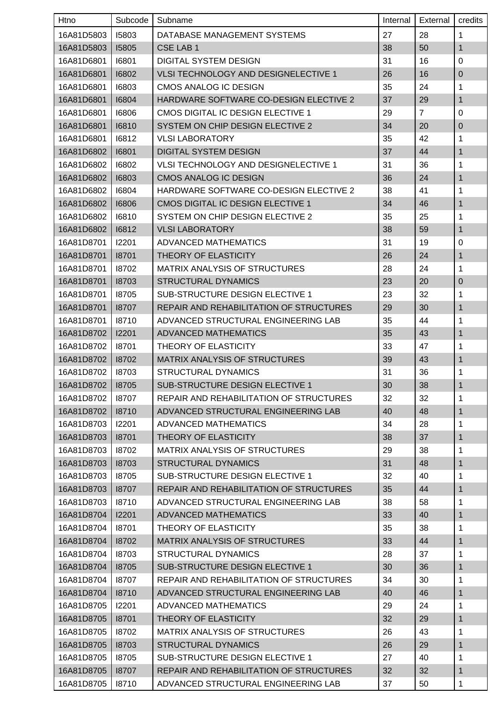| Htno               | Subcode | Subname                                        | Internal | External       | credits      |
|--------------------|---------|------------------------------------------------|----------|----------------|--------------|
| 16A81D5803         | 15803   | DATABASE MANAGEMENT SYSTEMS                    | 27       | 28             | 1            |
| 16A81D5803         | 15805   | <b>CSE LAB1</b>                                | 38       | 50             | 1            |
| 16A81D6801         | 16801   | DIGITAL SYSTEM DESIGN                          | 31       | 16             | $\pmb{0}$    |
| 16A81D6801         | 16802   | VLSI TECHNOLOGY AND DESIGNELECTIVE 1           | 26       | 16             | $\mathbf 0$  |
| 16A81D6801         | 16803   | CMOS ANALOG IC DESIGN                          | 35       | 24             | 1            |
| 16A81D6801         | 16804   | HARDWARE SOFTWARE CO-DESIGN ELECTIVE 2         | 37       | 29             | $\mathbf{1}$ |
| 16A81D6801         | 16806   | CMOS DIGITAL IC DESIGN ELECTIVE 1              | 29       | $\overline{7}$ | 0            |
| 16A81D6801         | 16810   | SYSTEM ON CHIP DESIGN ELECTIVE 2               | 34       | 20             | $\pmb{0}$    |
| 16A81D6801         | 16812   | <b>VLSI LABORATORY</b>                         | 35       | 42             | 1            |
| 16A81D6802         | 16801   | <b>DIGITAL SYSTEM DESIGN</b>                   | 37       | 44             | 1            |
| 16A81D6802         | 16802   | <b>VLSI TECHNOLOGY AND DESIGNELECTIVE 1</b>    | 31       | 36             | 1            |
| 16A81D6802         | 16803   | <b>CMOS ANALOG IC DESIGN</b>                   | 36       | 24             | 1            |
| 16A81D6802         | 16804   | HARDWARE SOFTWARE CO-DESIGN ELECTIVE 2         | 38       | 41             | 1            |
| 16A81D6802         | 16806   | CMOS DIGITAL IC DESIGN ELECTIVE 1              | 34       | 46             | 1            |
| 16A81D6802         | 16810   | SYSTEM ON CHIP DESIGN ELECTIVE 2               | 35       | 25             | 1            |
| 16A81D6802         | 16812   | <b>VLSI LABORATORY</b>                         | 38       | 59             | 1            |
| 16A81D8701         | 12201   | ADVANCED MATHEMATICS                           | 31       | 19             | 0            |
| 16A81D8701         | 18701   | THEORY OF ELASTICITY                           | 26       | 24             | $\mathbf{1}$ |
| 16A81D8701         | 18702   | <b>MATRIX ANALYSIS OF STRUCTURES</b>           | 28       | 24             | 1            |
| 16A81D8701         | 18703   | <b>STRUCTURAL DYNAMICS</b>                     | 23       | 20             | 0            |
| 16A81D8701         | 18705   | <b>SUB-STRUCTURE DESIGN ELECTIVE 1</b>         | 23       | 32             | 1            |
| 16A81D8701         | 18707   | <b>REPAIR AND REHABILITATION OF STRUCTURES</b> | 29       | 30             | 1            |
| 16A81D8701         | 18710   | ADVANCED STRUCTURAL ENGINEERING LAB            | 35       | 44             | 1            |
| 16A81D8702         | 12201   | <b>ADVANCED MATHEMATICS</b>                    | 35       | 43             | 1            |
| 16A81D8702         | 18701   | THEORY OF ELASTICITY                           | 33       | 47             | 1            |
| 16A81D8702         | 18702   | MATRIX ANALYSIS OF STRUCTURES                  | 39       | 43             | 1            |
| 16A81D8702         | 18703   | <b>STRUCTURAL DYNAMICS</b>                     | 31       | 36             | $\mathbf{1}$ |
| 16A81D8702   18705 |         | SUB-STRUCTURE DESIGN ELECTIVE 1                | 30       | 38             | $\mathbf{1}$ |
| 16A81D8702         | 18707   | REPAIR AND REHABILITATION OF STRUCTURES        | 32       | 32             | 1            |
| 16A81D8702         | 18710   | ADVANCED STRUCTURAL ENGINEERING LAB            | 40       | 48             | $\mathbf{1}$ |
| 16A81D8703         | 12201   | ADVANCED MATHEMATICS                           | 34       | 28             | 1            |
| 16A81D8703         | 18701   | THEORY OF ELASTICITY                           | 38       | 37             | 1            |
| 16A81D8703         | 18702   | MATRIX ANALYSIS OF STRUCTURES                  | 29       | 38             | 1            |
| 16A81D8703         | 18703   | <b>STRUCTURAL DYNAMICS</b>                     | 31       | 48             | 1            |
| 16A81D8703         | 18705   | SUB-STRUCTURE DESIGN ELECTIVE 1                | 32       | 40             | 1            |
| 16A81D8703         | 18707   | REPAIR AND REHABILITATION OF STRUCTURES        | 35       | 44             | 1            |
| 16A81D8703         | 18710   | ADVANCED STRUCTURAL ENGINEERING LAB            | 38       | 58             | 1            |
| 16A81D8704         | 12201   | <b>ADVANCED MATHEMATICS</b>                    | 33       | 40             | $\mathbf{1}$ |
| 16A81D8704         | 18701   | THEORY OF ELASTICITY                           | 35       | 38             | 1            |
| 16A81D8704         | 18702   | <b>MATRIX ANALYSIS OF STRUCTURES</b>           | 33       | 44             | $\mathbf{1}$ |
| 16A81D8704         | 18703   | <b>STRUCTURAL DYNAMICS</b>                     | 28       | 37             | 1            |
| 16A81D8704         | 18705   | SUB-STRUCTURE DESIGN ELECTIVE 1                | 30       | 36             | 1            |
| 16A81D8704         | 18707   | REPAIR AND REHABILITATION OF STRUCTURES        | 34       | 30             | 1            |
| 16A81D8704         | 18710   | ADVANCED STRUCTURAL ENGINEERING LAB            | 40       | 46             | 1            |
| 16A81D8705         | 12201   | ADVANCED MATHEMATICS                           | 29       | 24             | 1            |
| 16A81D8705         | 18701   | THEORY OF ELASTICITY                           | 32       | 29             | 1            |
| 16A81D8705         | 18702   | <b>MATRIX ANALYSIS OF STRUCTURES</b>           | 26       | 43             | 1            |
| 16A81D8705         | 18703   | <b>STRUCTURAL DYNAMICS</b>                     | 26       | 29             | $\mathbf{1}$ |
| 16A81D8705         | 18705   | SUB-STRUCTURE DESIGN ELECTIVE 1                | 27       | 40             | 1            |
| 16A81D8705         | 18707   | REPAIR AND REHABILITATION OF STRUCTURES        | 32       | 32             | $\mathbf{1}$ |
| 16A81D8705         | 18710   | ADVANCED STRUCTURAL ENGINEERING LAB            | 37       | 50             | $\mathbf{1}$ |